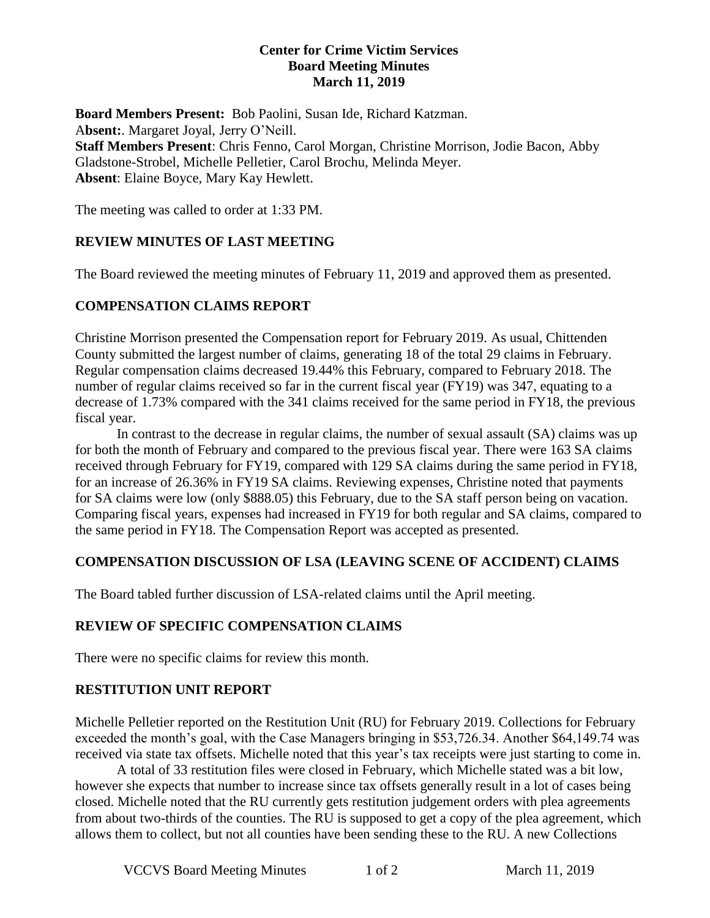#### **Center for Crime Victim Services Board Meeting Minutes March 11, 2019**

**Board Members Present:** Bob Paolini, Susan Ide, Richard Katzman. A**bsent:**. Margaret Joyal, Jerry O'Neill. **Staff Members Present**: Chris Fenno, Carol Morgan, Christine Morrison, Jodie Bacon, Abby Gladstone-Strobel, Michelle Pelletier, Carol Brochu, Melinda Meyer. **Absent**: Elaine Boyce, Mary Kay Hewlett.

The meeting was called to order at 1:33 PM.

## **REVIEW MINUTES OF LAST MEETING**

The Board reviewed the meeting minutes of February 11, 2019 and approved them as presented.

## **COMPENSATION CLAIMS REPORT**

Christine Morrison presented the Compensation report for February 2019. As usual, Chittenden County submitted the largest number of claims, generating 18 of the total 29 claims in February. Regular compensation claims decreased 19.44% this February, compared to February 2018. The number of regular claims received so far in the current fiscal year (FY19) was 347, equating to a decrease of 1.73% compared with the 341 claims received for the same period in FY18, the previous fiscal year.

In contrast to the decrease in regular claims, the number of sexual assault (SA) claims was up for both the month of February and compared to the previous fiscal year. There were 163 SA claims received through February for FY19, compared with 129 SA claims during the same period in FY18, for an increase of 26.36% in FY19 SA claims. Reviewing expenses, Christine noted that payments for SA claims were low (only \$888.05) this February, due to the SA staff person being on vacation. Comparing fiscal years, expenses had increased in FY19 for both regular and SA claims, compared to the same period in FY18. The Compensation Report was accepted as presented.

#### **COMPENSATION DISCUSSION OF LSA (LEAVING SCENE OF ACCIDENT) CLAIMS**

The Board tabled further discussion of LSA-related claims until the April meeting.

#### **REVIEW OF SPECIFIC COMPENSATION CLAIMS**

There were no specific claims for review this month.

#### **RESTITUTION UNIT REPORT**

Michelle Pelletier reported on the Restitution Unit (RU) for February 2019. Collections for February exceeded the month's goal, with the Case Managers bringing in \$53,726.34. Another \$64,149.74 was received via state tax offsets. Michelle noted that this year's tax receipts were just starting to come in.

A total of 33 restitution files were closed in February, which Michelle stated was a bit low, however she expects that number to increase since tax offsets generally result in a lot of cases being closed. Michelle noted that the RU currently gets restitution judgement orders with plea agreements from about two-thirds of the counties. The RU is supposed to get a copy of the plea agreement, which allows them to collect, but not all counties have been sending these to the RU. A new Collections